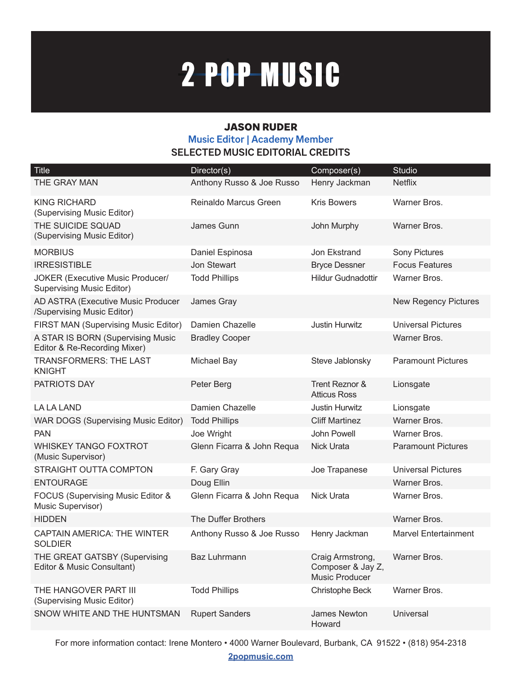# 2-POP-MUSIC

#### JASON RUDER **Music Editor | Academy Member SELECTED MUSIC EDITORIAL CREDITS**

| <b>Title</b>                                                                | Director(s)                | Composer(s)                                             | <b>Studio</b>               |
|-----------------------------------------------------------------------------|----------------------------|---------------------------------------------------------|-----------------------------|
| THE GRAY MAN                                                                | Anthony Russo & Joe Russo  | Henry Jackman                                           | <b>Netflix</b>              |
| <b>KING RICHARD</b><br>(Supervising Music Editor)                           | Reinaldo Marcus Green      | <b>Kris Bowers</b>                                      | Warner Bros.                |
| THE SUICIDE SQUAD<br>(Supervising Music Editor)                             | James Gunn                 | John Murphy                                             | Warner Bros.                |
| <b>MORBIUS</b>                                                              | Daniel Espinosa            | Jon Ekstrand                                            | Sony Pictures               |
| <b>IRRESISTIBLE</b>                                                         | Jon Stewart                | <b>Bryce Dessner</b>                                    | <b>Focus Features</b>       |
| <b>JOKER (Executive Music Producer/</b><br><b>Supervising Music Editor)</b> | <b>Todd Phillips</b>       | <b>Hildur Gudnadottir</b>                               | Warner Bros.                |
| AD ASTRA (Executive Music Producer<br>/Supervising Music Editor)            | James Gray                 |                                                         | <b>New Regency Pictures</b> |
| FIRST MAN (Supervising Music Editor)                                        | Damien Chazelle            | Justin Hurwitz                                          | <b>Universal Pictures</b>   |
| A STAR IS BORN (Supervising Music<br>Editor & Re-Recording Mixer)           | <b>Bradley Cooper</b>      |                                                         | Warner Bros.                |
| <b>TRANSFORMERS: THE LAST</b><br><b>KNIGHT</b>                              | Michael Bay                | Steve Jablonsky                                         | <b>Paramount Pictures</b>   |
| PATRIOTS DAY                                                                | Peter Berg                 | Trent Reznor &<br><b>Atticus Ross</b>                   | Lionsgate                   |
| <b>LA LA LAND</b>                                                           | Damien Chazelle            | Justin Hurwitz                                          | Lionsgate                   |
| <b>WAR DOGS (Supervising Music Editor)</b>                                  | <b>Todd Phillips</b>       | <b>Cliff Martinez</b>                                   | Warner Bros.                |
| <b>PAN</b>                                                                  | Joe Wright                 | John Powell                                             | Warner Bros.                |
| <b>WHISKEY TANGO FOXTROT</b><br>(Music Supervisor)                          | Glenn Ficarra & John Requa | <b>Nick Urata</b>                                       | <b>Paramount Pictures</b>   |
| STRAIGHT OUTTA COMPTON                                                      | F. Gary Gray               | Joe Trapanese                                           | <b>Universal Pictures</b>   |
| <b>ENTOURAGE</b>                                                            | Doug Ellin                 |                                                         | Warner Bros.                |
| FOCUS (Supervising Music Editor &<br>Music Supervisor)                      | Glenn Ficarra & John Requa | <b>Nick Urata</b>                                       | Warner Bros.                |
| <b>HIDDEN</b>                                                               | The Duffer Brothers        |                                                         | Warner Bros.                |
| <b>CAPTAIN AMERICA: THE WINTER</b><br><b>SOLDIER</b>                        | Anthony Russo & Joe Russo  | Henry Jackman                                           | <b>Marvel Entertainment</b> |
| THE GREAT GATSBY (Supervising<br>Editor & Music Consultant)                 | <b>Baz Luhrmann</b>        | Craig Armstrong,<br>Composer & Jay Z,<br>Music Producer | Warner Bros.                |
| THE HANGOVER PART III<br>(Supervising Music Editor)                         | <b>Todd Phillips</b>       | Christophe Beck                                         | Warner Bros.                |
| SNOW WHITE AND THE HUNTSMAN                                                 | <b>Rupert Sanders</b>      | James Newton<br>Howard                                  | Universal                   |

For more information contact: Irene Montero • 4000 Warner Boulevard, Burbank, CA 91522 • (818) 954-2318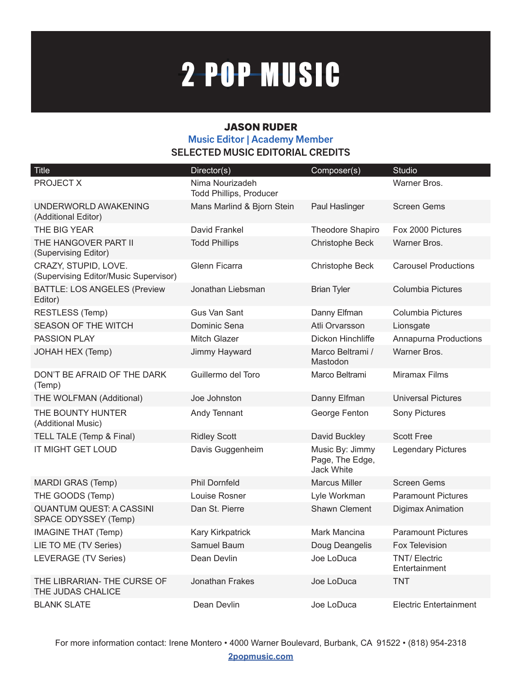# 2-POP-MUSIC

#### JASON RUDER **Music Editor | Academy Member SELECTED MUSIC EDITORIAL CREDITS**

| <b>Title</b>                                                  | Director(s)                                       | Composer(s)                                             | <b>Studio</b>                         |
|---------------------------------------------------------------|---------------------------------------------------|---------------------------------------------------------|---------------------------------------|
| PROJECT X                                                     | Nima Nourizadeh<br><b>Todd Phillips, Producer</b> |                                                         | Warner Bros.                          |
| UNDERWORLD AWAKENING<br>(Additional Editor)                   | Mans Marlind & Bjorn Stein                        | Paul Haslinger                                          | <b>Screen Gems</b>                    |
| THE BIG YEAR                                                  | David Frankel                                     | <b>Theodore Shapiro</b>                                 | Fox 2000 Pictures                     |
| THE HANGOVER PART II<br>(Supervising Editor)                  | <b>Todd Phillips</b>                              | Christophe Beck                                         | Warner Bros.                          |
| CRAZY, STUPID, LOVE.<br>(Supervising Editor/Music Supervisor) | Glenn Ficarra                                     | Christophe Beck                                         | <b>Carousel Productions</b>           |
| <b>BATTLE: LOS ANGELES (Preview</b><br>Editor)                | Jonathan Liebsman                                 | <b>Brian Tyler</b>                                      | <b>Columbia Pictures</b>              |
| RESTLESS (Temp)                                               | <b>Gus Van Sant</b>                               | Danny Elfman                                            | Columbia Pictures                     |
| <b>SEASON OF THE WITCH</b>                                    | Dominic Sena                                      | Atli Orvarsson                                          | Lionsgate                             |
| <b>PASSION PLAY</b>                                           | Mitch Glazer                                      | Dickon Hinchliffe                                       | Annapurna Productions                 |
| JOHAH HEX (Temp)                                              | Jimmy Hayward                                     | Marco Beltrami /<br>Mastodon                            | Warner Bros.                          |
| DON'T BE AFRAID OF THE DARK<br>(Temp)                         | Guillermo del Toro                                | Marco Beltrami                                          | Miramax Films                         |
| THE WOLFMAN (Additional)                                      | Joe Johnston                                      | Danny Elfman                                            | <b>Universal Pictures</b>             |
| THE BOUNTY HUNTER<br>(Additional Music)                       | Andy Tennant                                      | George Fenton                                           | <b>Sony Pictures</b>                  |
| TELL TALE (Temp & Final)                                      | <b>Ridley Scott</b>                               | David Buckley                                           | <b>Scott Free</b>                     |
| IT MIGHT GET LOUD                                             | Davis Guggenheim                                  | Music By: Jimmy<br>Page, The Edge,<br><b>Jack White</b> | <b>Legendary Pictures</b>             |
| MARDI GRAS (Temp)                                             | <b>Phil Dornfeld</b>                              | <b>Marcus Miller</b>                                    | <b>Screen Gems</b>                    |
| THE GOODS (Temp)                                              | Louise Rosner                                     | Lyle Workman                                            | <b>Paramount Pictures</b>             |
| <b>QUANTUM QUEST: A CASSINI</b><br>SPACE ODYSSEY (Temp)       | Dan St. Pierre                                    | Shawn Clement                                           | Digimax Animation                     |
| <b>IMAGINE THAT (Temp)</b>                                    | <b>Kary Kirkpatrick</b>                           | Mark Mancina                                            | <b>Paramount Pictures</b>             |
| LIE TO ME (TV Series)                                         | Samuel Baum                                       | Doug Deangelis                                          | Fox Television                        |
| LEVERAGE (TV Series)                                          | Dean Devlin                                       | Joe LoDuca                                              | <b>TNT/ Electric</b><br>Entertainment |
| THE LIBRARIAN- THE CURSE OF<br>THE JUDAS CHALICE              | Jonathan Frakes                                   | Joe LoDuca                                              | <b>TNT</b>                            |
| <b>BLANK SLATE</b>                                            | Dean Devlin                                       | Joe LoDuca                                              | <b>Electric Entertainment</b>         |